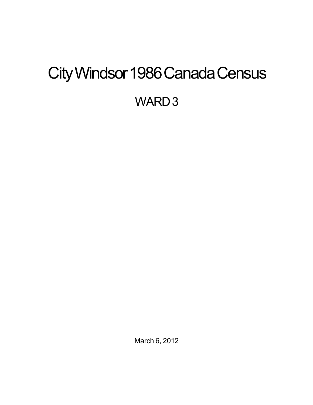# <span id="page-0-0"></span>City Windsor 1986 Canada Census

WARD<sub>3</sub>

March 6, 2012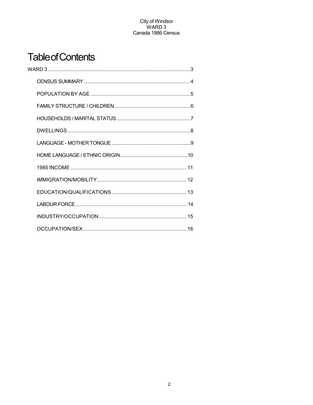## **Table of Contents**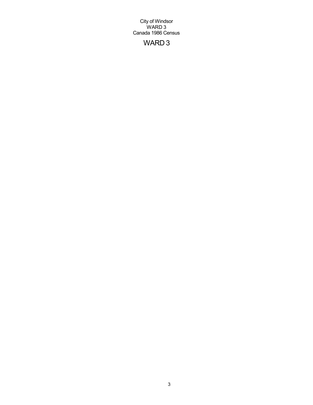## WARD 3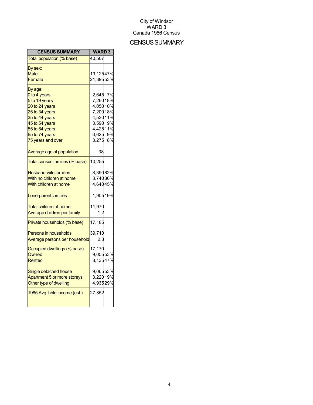## **CENSUS SUMMARY**

| <b>CENSUS SUMMARY</b>          | <b>WARD3</b> |  |
|--------------------------------|--------------|--|
| Total population (% base)      | 40,507       |  |
| By sex:                        |              |  |
| Male                           | 19,12547%    |  |
| Female                         | 21,39553%    |  |
| By age:                        |              |  |
| 0 to 4 years                   | 2,645 7%     |  |
| 5 to 19 years                  | 7,26018%     |  |
| 20 to 24 years                 | 4,05010%     |  |
| 25 to 34 years                 | 7,20018%     |  |
| 35 to 44 years                 | 4,53011%     |  |
| 45 to 54 years                 | 3,590 9%     |  |
| 55 to 64 years                 | 4,42511%     |  |
| 65 to 74 years                 | 3,625 9%     |  |
| 75 years and over              | 3,275 8%     |  |
| Average age of population      | 38           |  |
| Total census families (% base) | 10,255       |  |
| <b>Husband-wife families</b>   | 8,39082%     |  |
| With no children at home       | 3,74036%     |  |
| With children at home          | 4,64045%     |  |
|                                |              |  |
| Lone-parent families           | 1,90519%     |  |
| Total children at home         | 11,970       |  |
| Average children per family    | 1.2          |  |
| Private households (% base)    | 17,185       |  |
| <b>Persons in households</b>   | 39,710       |  |
| Average persons per household  | 2.3          |  |
| Occupied dwellings (% base)    | 17,170       |  |
| Owned                          | 9,05553%     |  |
| Rented                         | 8,13547%     |  |
|                                |              |  |
| Single detached house          | 9,06553%     |  |
| Apartment 5 or more storeys    | 3,22019%     |  |
| Other type of dwelling         | 4,93529%     |  |
| 1985 Avg. hhld income (est.)   | 27,852       |  |
|                                |              |  |
|                                |              |  |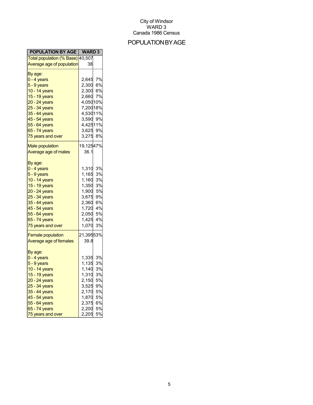## POPULATIONBYAGE

| <b>POPULATION BY AGE   WARD 3</b> |                      |    |
|-----------------------------------|----------------------|----|
| Total population (% Base) 40,507  |                      |    |
| Average age of population         | 38                   |    |
| By age:                           |                      |    |
| 0 - 4 years                       | 2,645 7%<br>2,300 6% |    |
| <mark>5 - 9 years</mark>          |                      |    |
| 10 - 14 years                     | 2,300                | 6% |
| 15 - 19 years                     | 2,660                | 7% |
| 20 - 24 years                     | 4,05010%             |    |
| 25 - 34 years                     | 7,20018%             |    |
| 35 - 44 years                     | 4,53011%             |    |
| 45 - 54 years                     | 3,590 9%             |    |
| 55 - 64 years                     | 4,42511%             |    |
| 65 - 74 years                     | 3,625 9%             |    |
| 75 years and over                 | 3,275                | 8% |
|                                   |                      |    |
| <b>Male population</b>            | 19,12547%            |    |
| Average age of males              | 36.1                 |    |
|                                   |                      |    |
| By age:                           |                      |    |
| <mark>0 - 4 years</mark>          | 1,310                | 3% |
| 5 - 9 years                       | 1,165                | 3% |
| 10 - 14 years                     | 1,160                | 3% |
| 15 - 19 years                     | 1,350                | 3% |
| 20 - 24 years                     | 1,900                | 5% |
| 25 - 34 years                     | 3,675                | 9% |
| 35 - 44 years                     | 2,360                | 6% |
| 45 - 54 years                     | 1,720                | 4% |
| 55 - 64 years                     | 2,050                | 5% |
| 65 - 74 years                     | 1,425                | 4% |
| 75 years and over                 | 1,070                | 3% |
| <b>Female population</b>          | 21,39553%            |    |
|                                   |                      |    |
| Average age of females            | 39.8                 |    |
| By age:                           |                      |    |
| $0 - 4$ years                     | 1,335                | 3% |
| 5 - 9 years                       | 1,135                | 3% |
| 10 - 14 years                     | 1,140                | 3% |
| 15 - 19 years                     | 1,310                | 3% |
| 20 - 24 years                     | 2,150                | 5% |
| 25 - 34 years                     | 3,525                | 9% |
| 35 - 44 years                     | 2,170                | 5% |
| 45 - 54 years                     | 1,870                | 5% |
| 55 - 64 years                     | 2,375                | 6% |
| 65 - 74 years                     | 2,200                | 5% |
| 75 years and over                 | 2,205                | 5% |
|                                   |                      |    |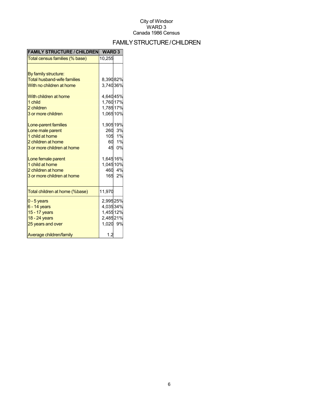## FAMILYSTRUCTURE/CHILDREN

| <b>FAMILY STRUCTURE / CHILDREN</b> | <b>WARD3</b> |        |
|------------------------------------|--------------|--------|
| Total census families (% base)     | 10,255       |        |
|                                    |              |        |
| By family structure:               |              |        |
| <b>Total husband-wife families</b> | 8,39082%     |        |
| With no children at home           | 3,74036%     |        |
| With children at home              | 4,64045%     |        |
| 1 child                            | 1,76017%     |        |
| 2 children                         | 1,78517%     |        |
| 3 or more children                 | 1,06510%     |        |
| Lone-parent families               | 1,90519%     |        |
| Lone male parent                   |              | 260 3% |
| 1 child at home                    |              | 105 1% |
| 2 children at home                 |              | 60 1%  |
| 3 or more children at home         |              | 45 0%  |
| Lone female parent                 | 1,64516%     |        |
| 1 child at home                    | 1,04510%     |        |
| 2 children at home                 |              | 460 4% |
| 3 or more children at home         |              | 165 2% |
| Total children at home (%base)     | 11,970       |        |
| $0 - 5$ years                      | 2,99525%     |        |
| $6 - 14$ years                     | 4,03534%     |        |
| 15 - 17 years                      | 1,45512%     |        |
| 18 - 24 years                      | 2,48521%     |        |
| 25 years and over                  | 1,020 9%     |        |
| Average children/family            | 1.2          |        |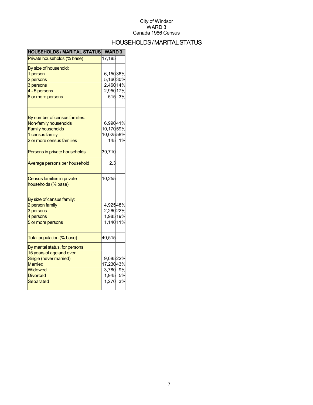## HOUSEHOLDS/MARITALSTATUS

| <b>HOUSEHOLDS / MARITAL STATUS</b> | <b>WARD3</b> |        |
|------------------------------------|--------------|--------|
| Private households (% base)        | 17,185       |        |
| By size of household:              |              |        |
| 1 person                           | 6,15036%     |        |
| 2 persons                          | 5,16030%     |        |
| 3 persons                          | 2,46014%     |        |
| 4 - 5 persons                      | 2,95017%     |        |
| 6 or more persons                  |              | 515 3% |
| By number of census families:      |              |        |
| Non-family households              | 6,99041%     |        |
| <b>Family households</b>           | 10,17059%    |        |
| 1 census family                    | 10,02558%    |        |
| 2 or more census families          |              | 145 1% |
|                                    |              |        |
| Persons in private households      | 39,710       |        |
| Average persons per household      | 2.3          |        |
| Census families in private         | 10,255       |        |
| households (% base)                |              |        |
| By size of census family:          |              |        |
| 2 person family                    | 4,92548%     |        |
| 3 persons                          | 2,26022%     |        |
| 4 persons                          | 1,98519%     |        |
| 5 or more persons                  | 1,14011%     |        |
| Total population (% base)          | 40,515       |        |
| By marital status, for persons     |              |        |
| 15 years of age and over:          |              |        |
| Single (never married)             | 9,08522%     |        |
| <b>Married</b>                     | 17,23043%    |        |
| Widowed                            | 3,780 9%     |        |
| <b>Divorced</b>                    | 1,945 5%     |        |
| Separated                          | 1,270        | 3%     |
|                                    |              |        |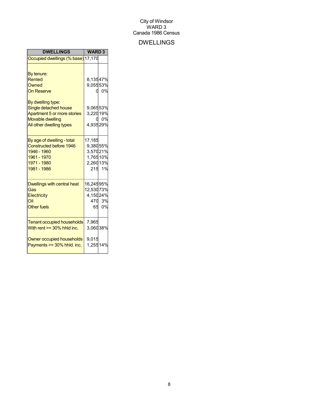## DWELLINGS

| <b>DWELLINGS</b>                                                                                                                                                                       | <b>WARD3</b>                                             |                 |
|----------------------------------------------------------------------------------------------------------------------------------------------------------------------------------------|----------------------------------------------------------|-----------------|
| Occupied dwellings (% base) 17,170                                                                                                                                                     |                                                          |                 |
| By tenure:<br>Rented<br>Owned<br><b>On Reserve</b><br>By dwelling type:<br>Single detached house<br>Apartment 5 or more stories<br><b>Movable dwelling</b><br>All other dwelling types | 8,13547%<br>9,05553%<br>9,06553%<br>3,22019%<br>4,93529% | 0.0%<br>0%      |
| By age of dwelling - total<br><b>Constructed before 1946</b><br>1946 - 1960<br>1961 - 1970<br>1971 - 1980<br>1981 - 1986                                                               | 17,185<br>9,38055%<br>3,57021%<br>1,76510%<br>2,26013%   | 215 1%          |
| Dwellings with central heat<br>Gas<br>Electricity<br>Oil<br><b>Other fuels</b>                                                                                                         | 16,24595%<br>12,53073%<br>4,15024%                       | 470 3%<br>65 0% |
| <b>Tenant occupied households</b><br>With rent $>=$ 30% hhld inc.<br>Owner occupied households<br>Payments >= 30% hhld. inc.                                                           | 7,965<br>3,06038%<br>9,015<br>1,25514%                   |                 |
|                                                                                                                                                                                        |                                                          |                 |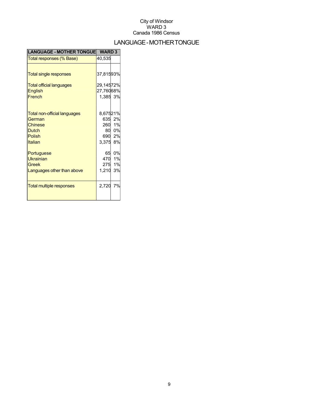## LANGUAGE-MOTHERTONGUE

| <b>LANGUAGE - MOTHER TONGUE</b> | <b>WARD 3</b> |        |
|---------------------------------|---------------|--------|
| Total responses (% Base)        | 40,535        |        |
|                                 |               |        |
| <b>Total single responses</b>   | 37,81593%     |        |
| <b>Total official languages</b> | 29,14572%     |        |
| <b>English</b>                  | 27,76068%     |        |
| French                          | 1,385 3%      |        |
|                                 |               |        |
| Total non-official languages    | 8,67521%      |        |
| German                          |               | 635 2% |
| <b>Chinese</b>                  |               | 260 1% |
| <b>Dutch</b>                    |               | 80 0%  |
| Polish                          |               | 690 2% |
| Italian                         | 3,375         | 8%     |
| Portuguese                      | 65            | 0%     |
| <b>Ukrainian</b>                |               | 470 1% |
| Greek                           | 275           | 1%     |
| Languages other than above      | 1,210         | 3%     |
|                                 |               |        |
| <b>Total multiple responses</b> | 2,720         | 7%     |
|                                 |               |        |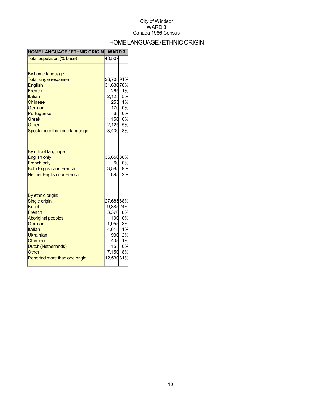## HOME LANGUAGE / ETHNIC ORIGIN

| <b>HOME LANGUAGE / ETHNIC ORIGIN</b>                                                                                                                                                                      | <b>WARD3</b>                                                                        |                                              |
|-----------------------------------------------------------------------------------------------------------------------------------------------------------------------------------------------------------|-------------------------------------------------------------------------------------|----------------------------------------------|
| Total population (% base)                                                                                                                                                                                 | 40,507                                                                              |                                              |
| By home language:<br><b>Total single response</b><br>English<br>French<br>Italian<br>Chinese<br>German<br>Portuguese<br><b>Greek</b><br>Other<br>Speak more than one language                             | 36,70591%<br>31,63078%<br>265<br>2,125<br>255<br>170<br>65<br>150<br>2,125<br>3,430 | 1%<br>5%<br>1%<br>0%<br>0%<br>0%<br>5%<br>8% |
| By official language:<br><b>English only</b><br><b>French only</b><br><b>Both English and French</b><br><b>Neither English nor French</b>                                                                 | 35,65088%<br>60<br>3,585<br>895                                                     | 0%<br>9%<br>2%                               |
| By ethnic origin:<br>Single origin<br><b>British</b><br>French<br><b>Aboriginal peoples</b><br>German<br>Italian<br>Ukrainian<br>Chinese<br>Dutch (Netherlands)<br>Other<br>Reported more than one origin | 27,68568%<br>9,88524%<br>3,370<br>1,055<br>4,61511%<br>930<br>7,15018%<br>12,53031% | 8%<br>100 0%<br>3%<br>2%<br>405 1%<br>155 0% |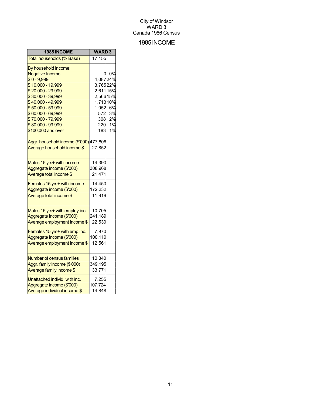## 1985INCOME

| 1985 INCOME                             | <b>WARD3</b> |    |
|-----------------------------------------|--------------|----|
| Total households (% Base)               | 17,155       |    |
| By household income:                    |              |    |
| <b>Negative Income</b>                  | 0            | 0% |
| $$0 - 9,999$                            | 4,08724%     |    |
| \$10,000 - 19,999                       | 3,76522%     |    |
| \$20,000 - 29,999                       | 2,611 15%    |    |
| \$30,000 - 39,999                       | 2,56615%     |    |
| \$40,000 - 49,999                       | 1,71310%     |    |
| \$50,000 - 59,999                       | 1,052        | 6% |
| \$60,000 - 69,999                       | 572          | 3% |
| \$70,000 - 79,999                       | 308          | 2% |
| \$80,000 - 99,999                       | 220          | 1% |
| \$100,000 and over                      | 183          | 1% |
| Aggr. household income (\$'000) 477,806 |              |    |
| Average household income \$             | 27,852       |    |
| Males 15 yrs+ with income               | 14,390       |    |
| Aggregate income (\$'000)               | 308,968      |    |
| Average total income \$                 | 21,471       |    |
| Females 15 yrs+ with income             | 14,450       |    |
| Aggregate income (\$'000)               | 172,232      |    |
| Average total income \$                 | 11,919       |    |
| Males 15 yrs+ with employ.inc           | 10,705       |    |
| Aggregate income (\$'000)               | 241,189      |    |
| Average employment income \$            | 22,530       |    |
|                                         |              |    |
| Females 15 yrs+ with emp.inc.           | 7,970        |    |
| Aggregate income (\$'000)               | 100,110      |    |
| Average employment income \$            | 12,561       |    |
| <b>Number of census families</b>        | 10,340       |    |
| Aggr. family income (\$'000)            | 349,195      |    |
| Average family income \$                | 33,771       |    |
| Unattached individ. with inc.           | 7,255        |    |
| Aggregate income (\$'000)               | 107,724      |    |
| Average individual income \$            | 14,848       |    |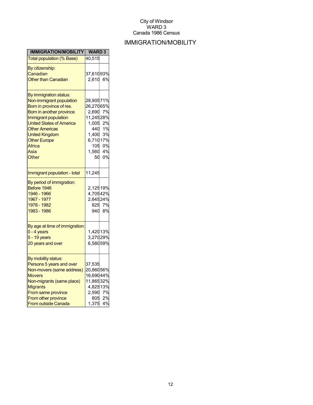## IMMIGRATION/MOBILITY

| <b>IMMIGRATION/MOBILITY</b>                                                                                                                                                                                                                                               | <b>WARD3</b>                                                                                                  |                            |
|---------------------------------------------------------------------------------------------------------------------------------------------------------------------------------------------------------------------------------------------------------------------------|---------------------------------------------------------------------------------------------------------------|----------------------------|
| <b>Total population (% Base)</b>                                                                                                                                                                                                                                          | 40,515                                                                                                        |                            |
| By citizenship:<br>Canadian<br><b>Other than Canadian</b>                                                                                                                                                                                                                 | 37,61093%<br>2,610                                                                                            | 6%                         |
| By immigration status:<br>Non-immigrant population<br>Born in province of res.<br>Born in another province<br>Immigrant population<br><b>United States of America</b><br><b>Other Americas</b><br><b>United Kingdom</b><br><b>Other Europe</b><br>Africa<br>Asia<br>Other | 28,90571%<br>26,27065%<br>2,690 7%<br>11,24528%<br>1,005<br>440<br>1,400<br>6,71017%<br>105<br>1,560 4%<br>50 | 2%<br>1%<br>3%<br>0%<br>0% |
| Immigrant population - total                                                                                                                                                                                                                                              | 11,245                                                                                                        |                            |
| By period of immigration:<br>Before 1946<br>1946 - 1966<br>1967 - 1977<br>1978 - 1982<br>1983 - 1986                                                                                                                                                                      | 2,12519%<br>4,70542%<br>2,64524%<br>825<br>940                                                                | 7%<br>8%                   |
| By age at time of immigration:<br>$0 - 4$ years<br>$5 - 19$ years<br>20 years and over                                                                                                                                                                                    | 1,42013%<br>3,27029%<br>6,58059%                                                                              |                            |
| By mobility status:<br>Persons 5 years and over<br>Non-movers (same address)<br><b>Movers</b><br>Non-migrants (same place)<br><b>Migrants</b><br>From same province<br>From other province<br><b>From outside Canada</b>                                                  | 37,535<br>20,86056%<br>16,69044%<br>11,86532%<br>4,82513%<br>2,590<br>805<br>1,375                            | 7%<br>2%<br>4%             |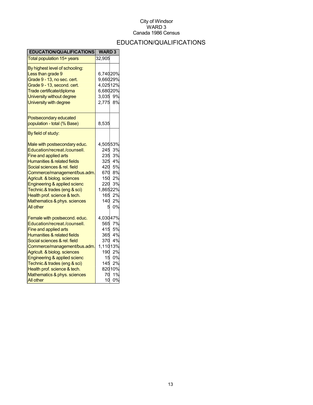## EDUCATION/QUALIFICATIONS

| <b>EDUCATION/QUALIFICATIONS</b>        | <b>WARD3</b> |        |
|----------------------------------------|--------------|--------|
| Total population 15+ years             | 32,905       |        |
| By highest level of schooling:         |              |        |
| Less than grade 9                      | 6,74020%     |        |
| Grade 9 - 13, no sec. cert.            | 9,66029%     |        |
| Grade 9 - 13, second. cert.            | 4,02512%     |        |
| Trade certificate/diploma              | 6,68020%     |        |
| University without degree              | 3,035        | 9%     |
| University with degree                 | 2,775        | 8%     |
| Postsecondary educated                 |              |        |
| population - total (% Base)            | 8,535        |        |
| By field of study:                     |              |        |
| Male with postsecondary educ.          | 4,50553%     |        |
| Education/recreat./counsell.           | 245          | 3%     |
| Fine and applied arts                  | 235          | 3%     |
| Humanities & related fields            | 325          | 4%     |
| Social sciences & rel. field           | 420          | 5%     |
| Commerce/management/bus.adm.           |              | 670 8% |
| Agricult. & biolog. sciences           |              | 150 2% |
| Engineering & applied scienc           | 220          | 3%     |
| Technic.& trades (eng & sci)           | 1,86522%     |        |
| Health prof. science & tech.           | 165          | 2%     |
| Mathematics & phys. sciences           | 140          | 2%     |
| <b>All other</b>                       | 5            | 0%     |
| Female with postsecond. educ.          | 4,03047%     |        |
| Education/recreat./counsell.           | 565          | 7%     |
| Fine and applied arts                  | 415          | 5%     |
| <b>Humanities &amp; related fields</b> |              | 365 4% |
| Social sciences & rel. field           | 370          | 4%     |
| Commerce/management/bus.adm.           | 1,11013%     |        |
| Agricult. & biolog. sciences           | 190          | 2%     |
| Engineering & applied scienc           | 15           | 0%     |
| Technic.& trades (eng & sci)           | 145          | 2%     |
| Health prof. science & tech.           |              | 82010% |
| Mathematics & phys. sciences           | 70           | 1%     |
| All other                              | 10           | 0%     |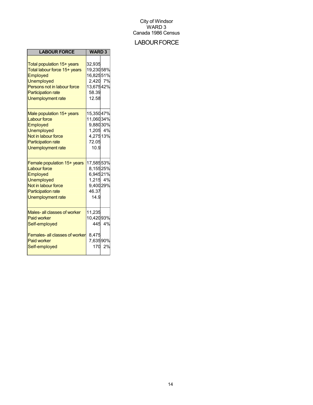## **LABOUR FORCE**

| <b>LABOUR FORCE</b>                                                                                                                                                                 | <b>WARD3</b>                                                                |              |
|-------------------------------------------------------------------------------------------------------------------------------------------------------------------------------------|-----------------------------------------------------------------------------|--------------|
| Total population 15+ years<br>Total labour force 15+ years<br>Employed<br><b>Unemployed</b><br>Persons not in labour force<br><b>Participation rate</b><br><b>Unemployment rate</b> | 32,935<br>19,23058%<br>16,82551%<br>2,420 7%<br>13,67542%<br>58.39<br>12.58 |              |
| Male population 15+ years<br><b>Labour force</b><br>Employed<br><b>Unemployed</b><br>Not in labour force<br><b>Participation rate</b><br><b>Unemployment rate</b>                   | 15,35047%<br>11,06034%<br>9,88030%<br>1,205 4%<br>4,27513%<br>72.05<br>10.9 |              |
| Female population 15+ years<br><b>Labour force</b><br>Employed<br><b>Unemployed</b><br>Not in labour force<br><b>Participation rate</b><br><b>Unemployment rate</b>                 | 17,58553%<br>8,15525%<br>6,94521%<br>1,215 4%<br>9,40029%<br>46.37<br>14.9  |              |
| Males- all classes of worker<br><b>Paid worker</b><br>Self-employed<br>Females- all classes of worker<br><b>Paid worker</b><br>Self-employed                                        | 11,235<br>10,42093%<br>8,475<br>7,63590%<br>170                             | 445 4%<br>2% |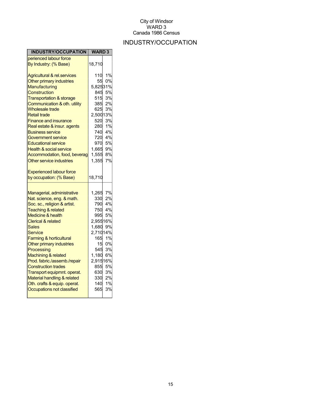## INDUSTRY/OCCUPATION

| INDUSTRY/OCCUPATION                                                                                                                                                                                                                                                                                                                                                                                                                                                                                  | <b>WARD 3</b>                                                                                                 |                                                                                                                   |
|------------------------------------------------------------------------------------------------------------------------------------------------------------------------------------------------------------------------------------------------------------------------------------------------------------------------------------------------------------------------------------------------------------------------------------------------------------------------------------------------------|---------------------------------------------------------------------------------------------------------------|-------------------------------------------------------------------------------------------------------------------|
| perienced labour force                                                                                                                                                                                                                                                                                                                                                                                                                                                                               |                                                                                                               |                                                                                                                   |
| By Industry: (% Base)                                                                                                                                                                                                                                                                                                                                                                                                                                                                                | 18,710                                                                                                        |                                                                                                                   |
| <b>Agricultural &amp; rel.services</b><br>Other primary industries<br>Manufacturing<br><b>Construction</b><br><b>Transportation &amp; storage</b><br>Communication & oth. utility<br><b>Wholesale trade</b><br><b>Retail trade</b><br>Finance and insurance<br><u>Real estate &amp; insur. agents</u><br><u>Business service</u><br>Government service<br><b>Educational service</b><br><b>Health &amp; social service</b><br>Accommodation, food, beverag<br>Other service industries               | 110<br>55<br>5,82531%<br>845<br>385<br>625<br>2,50013%<br>520<br>280<br>740<br>970<br>1,665<br>1,555<br>1,355 | 1%<br>0%<br>5%<br>515 3%<br>2%<br>3%<br>3%<br>1%<br>4%<br>720 4%<br>5%<br>9%<br>8%<br>7%                          |
| <b>Experienced labour force</b><br>by occupation: (% Base)                                                                                                                                                                                                                                                                                                                                                                                                                                           | 18,710                                                                                                        |                                                                                                                   |
| Managerial, administrative<br>Nat. science, eng. & math.<br>Soc. sc., religion & artist.<br><b>Teaching &amp; related</b><br><b>Medicine &amp; health</b><br><b>Clerical &amp; related</b><br>Sales<br>Service<br>Farming & horticultural<br>Other primary industries<br>Processing<br>Machining & related<br>Prod. fabric./assemb./repair<br><b>Construction trades</b><br>Transport equipmnt. operat.<br>Material handling & related<br>Oth. crafts & equip. operat.<br>Occupations not classified | 1,265<br>330<br>790<br>750<br>995<br>2,95516%<br>1,680<br>2,71014%<br>165<br>1,180<br>2,91516%                | 7%<br>2%<br>4%<br>4%<br>5%<br>9%<br>1%<br>15 0%<br>545 3%<br>6%<br>855 5%<br>630 3%<br>330 2%<br>140 1%<br>565 3% |